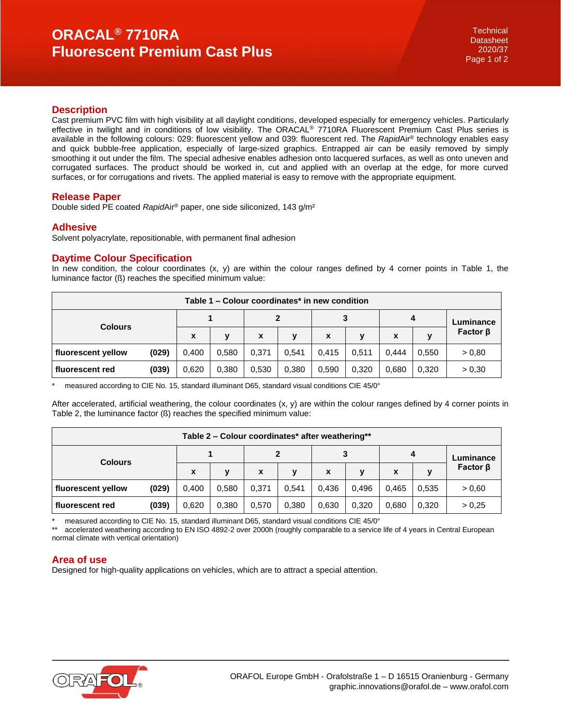# **ORACAL® 7710RA Fluorescent Premium Cast Plus**

## **Description**

Cast premium PVC film with high visibility at all daylight conditions, developed especially for emergency vehicles. Particularly effective in twilight and in conditions of low visibility. The ORACAL® 7710RA Fluorescent Premium Cast Plus series is available in the following colours: 029: fluorescent yellow and 039: fluorescent red. The *Rapid*Air® technology enables easy and quick bubble-free application, especially of large-sized graphics. Entrapped air can be easily removed by simply smoothing it out under the film. The special adhesive enables adhesion onto lacquered surfaces, as well as onto uneven and corrugated surfaces. The product should be worked in, cut and applied with an overlap at the edge, for more curved surfaces, or for corrugations and rivets. The applied material is easy to remove with the appropriate equipment.

### **Release Paper**

Double sided PE coated *Rapid*Air® paper, one side siliconized, 143 g/m²

### **Adhesive**

Solvent polyacrylate, repositionable, with permanent final adhesion

### **Daytime Colour Specification**

In new condition, the colour coordinates  $(x, y)$  are within the colour ranges defined by 4 corner points in Table 1, the luminance factor (ß) reaches the specified minimum value:

| Table 1 – Colour coordinates* in new condition |       |              |       |                           |       |       |       |       |       |                |
|------------------------------------------------|-------|--------------|-------|---------------------------|-------|-------|-------|-------|-------|----------------|
| <b>Colours</b>                                 |       |              |       |                           |       | 3     |       | 4     |       | Luminance      |
|                                                |       | $\mathbf{x}$ | v     | $\boldsymbol{\mathsf{x}}$ | v     | X     | y     | X     |       | Factor $\beta$ |
| fluorescent yellow                             | (029) | 0.400        | 0,580 | 0.371                     | 0.541 | 0.415 | 0,511 | 0.444 | 0.550 | > 0.80         |
| fluorescent red                                | (039) | 0,620        | 0,380 | 0.530                     | 0.380 | 0.590 | 0,320 | 0,680 | 0,320 | > 0.30         |

measured according to CIE No. 15, standard illuminant D65, standard visual conditions CIE 45/0°

After accelerated, artificial weathering, the colour coordinates (x, y) are within the colour ranges defined by 4 corner points in Table 2, the luminance factor (ß) reaches the specified minimum value:

| Table 2 – Colour coordinates* after weathering** |       |       |       |              |       |       |       |       |       |                |
|--------------------------------------------------|-------|-------|-------|--------------|-------|-------|-------|-------|-------|----------------|
| <b>Colours</b>                                   |       |       |       | $\mathbf{2}$ |       | 3     |       | 4     |       | Luminance      |
|                                                  |       | X     | v     | X            | у     | X     | y     | x     | v     | Factor $\beta$ |
| fluorescent yellow                               | (029) | 0.400 | 0.580 | 0.371        | 0.541 | 0,436 | 0.496 | 0.465 | 0,535 | > 0,60         |
| fluorescent red                                  | (039) | 0,620 | 0,380 | 0.570        | 0.380 | 0,630 | 0,320 | 0,680 | 0.320 | > 0.25         |

measured according to CIE No. 15, standard illuminant D65, standard visual conditions CIE 45/0°

accelerated weathering according to EN ISO 4892-2 over 2000h (roughly comparable to a service life of 4 years in Central European normal climate with vertical orientation)

## **Area of use**

Designed for high-quality applications on vehicles, which are to attract a special attention.